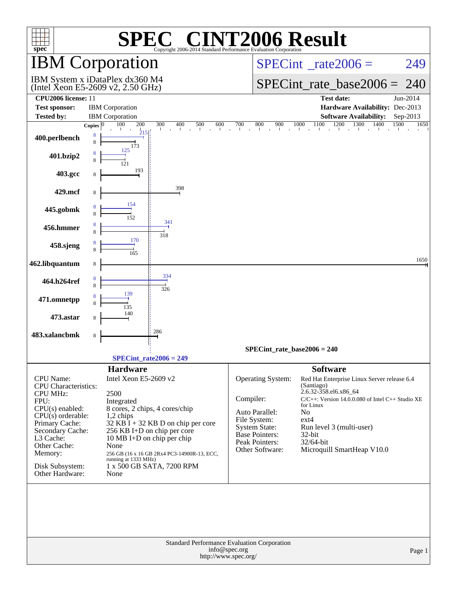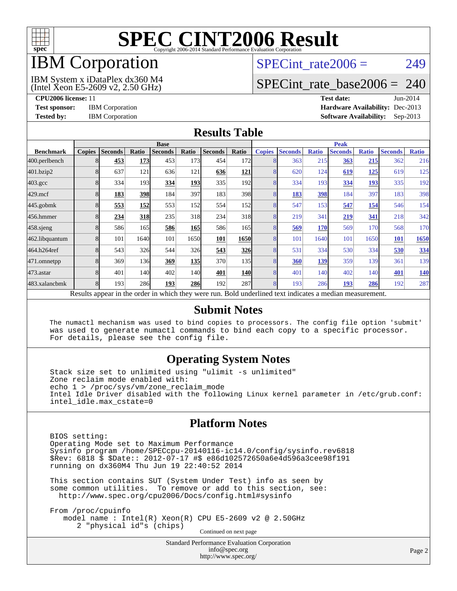

## IBM Corporation

## SPECint rate $2006 = 249$

#### (Intel Xeon E5-2609 v2, 2.50 GHz) IBM System x iDataPlex dx360 M4

[SPECint\\_rate\\_base2006 =](http://www.spec.org/auto/cpu2006/Docs/result-fields.html#SPECintratebase2006) 240

**[CPU2006 license:](http://www.spec.org/auto/cpu2006/Docs/result-fields.html#CPU2006license)** 11 **[Test date:](http://www.spec.org/auto/cpu2006/Docs/result-fields.html#Testdate)** Jun-2014 **[Test sponsor:](http://www.spec.org/auto/cpu2006/Docs/result-fields.html#Testsponsor)** IBM Corporation **[Hardware Availability:](http://www.spec.org/auto/cpu2006/Docs/result-fields.html#HardwareAvailability)** Dec-2013 **[Tested by:](http://www.spec.org/auto/cpu2006/Docs/result-fields.html#Testedby)** IBM Corporation **[Software Availability:](http://www.spec.org/auto/cpu2006/Docs/result-fields.html#SoftwareAvailability)** Sep-2013

#### **[Results Table](http://www.spec.org/auto/cpu2006/Docs/result-fields.html#ResultsTable)**

|                    | <b>Base</b>             |                |            |                                                                                                          |            |                |                  | <b>Peak</b>   |                |              |                |              |                |              |
|--------------------|-------------------------|----------------|------------|----------------------------------------------------------------------------------------------------------|------------|----------------|------------------|---------------|----------------|--------------|----------------|--------------|----------------|--------------|
| <b>Benchmark</b>   | <b>Copies</b>           | <b>Seconds</b> | Ratio      | <b>Seconds</b>                                                                                           | Ratio      | <b>Seconds</b> | Ratio            | <b>Copies</b> | <b>Seconds</b> | <b>Ratio</b> | <b>Seconds</b> | <b>Ratio</b> | <b>Seconds</b> | <b>Ratio</b> |
| 400.perlbench      |                         | 453            | 173        | 453                                                                                                      | 173        | 454            | 172              |               | 363            | 215          | 363            | 215          | 362            | 216          |
| 401.bzip2          |                         | 637            | 121        | 636                                                                                                      | 121        | 636            | <b>121</b>       |               | 620            | 124          | 619            | <u> 125</u>  | 619            | 125          |
| $403.\mathrm{gcc}$ |                         | 334            | 193        | 334                                                                                                      | 193        | 335            | 192              |               | 334            | 193          | 334            | 193          | 335            | 192          |
| $429$ .mcf         |                         | 183            | <b>398</b> | 184                                                                                                      | 397        | 183            | 398              |               | 183            | 398          | 184            | 397          | 183            | 398          |
| $445$ .gobmk       | 8                       | 553            | 152        | 553                                                                                                      | 152I       | 554            | 152              |               | 547            | 153          | 547            | 154          | 546            | 154          |
| 456.hmmer          |                         | 234            | 318        | 235                                                                                                      | 318        | 234            | 318              |               | 219            | 341          | 219            | 341          | 218            | 342          |
| $458$ .sjeng       |                         | 586            | 165        | 586                                                                                                      | <b>165</b> | 586            | 165 <sup> </sup> |               | 569            | 170          | 569            | 170          | 568            | 170          |
| 462.libquantum     |                         | 101            | 1640       | 101                                                                                                      | 1650       | 101            | 1650             |               | 101            | 1640         | 101            | 1650         | <b>101</b>     | 1650         |
| 464.h264ref        |                         | 543            | 326        | 544                                                                                                      | <b>326</b> | 543            | 326              |               | 531            | 334          | 530            | 334          | 530            | 334          |
| 471.omnetpp        |                         | 369            | 136        | 369                                                                                                      | 135        | 370            | 135              |               | 360            | 139          | 359            | 139          | 361            | 139          |
| 473.astar          |                         | 401            | 140        | 402                                                                                                      | 140        | 401            | <b>140</b>       |               | 401            | 140          | 402            | 140          | 401            | <b>140</b>   |
| 483.xalancbmk      | $\mathsf{\overline{R}}$ | 193            | 286        | 193                                                                                                      | <b>286</b> | 192            | 287              |               | 193            | 286          | 193            | 286          | 192            | 287          |
|                    |                         |                |            | Results appear in the order in which they were run. Bold underlined text indicates a median measurement. |            |                |                  |               |                |              |                |              |                |              |

#### **[Submit Notes](http://www.spec.org/auto/cpu2006/Docs/result-fields.html#SubmitNotes)**

 The numactl mechanism was used to bind copies to processors. The config file option 'submit' was used to generate numactl commands to bind each copy to a specific processor. For details, please see the config file.

### **[Operating System Notes](http://www.spec.org/auto/cpu2006/Docs/result-fields.html#OperatingSystemNotes)**

 Stack size set to unlimited using "ulimit -s unlimited" Zone reclaim mode enabled with: echo 1 > /proc/sys/vm/zone\_reclaim\_mode Intel Idle Driver disabled with the following Linux kernel parameter in /etc/grub.conf: intel\_idle.max\_cstate=0

#### **[Platform Notes](http://www.spec.org/auto/cpu2006/Docs/result-fields.html#PlatformNotes)**

 BIOS setting: Operating Mode set to Maximum Performance Sysinfo program /home/SPECcpu-20140116-ic14.0/config/sysinfo.rev6818 \$Rev: 6818 \$ \$Date:: 2012-07-17 #\$ e86d102572650a6e4d596a3cee98f191 running on dx360M4 Thu Jun 19 22:40:52 2014

 This section contains SUT (System Under Test) info as seen by some common utilities. To remove or add to this section, see: <http://www.spec.org/cpu2006/Docs/config.html#sysinfo>

 From /proc/cpuinfo model name : Intel(R) Xeon(R) CPU E5-2609 v2 @ 2.50GHz 2 "physical id"s (chips) Continued on next page

> Standard Performance Evaluation Corporation [info@spec.org](mailto:info@spec.org) <http://www.spec.org/>

Page 2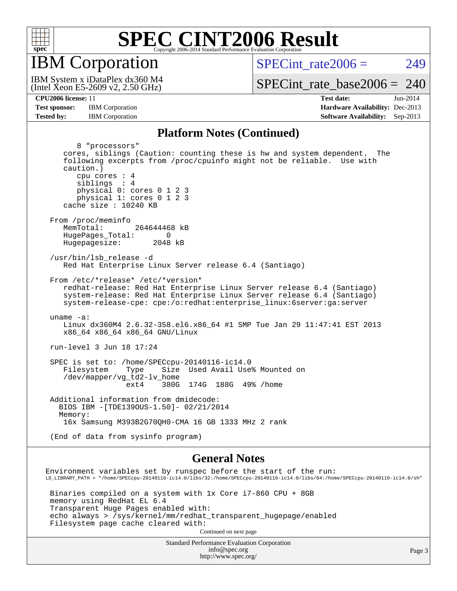

IBM Corporation

 $SPECint rate2006 = 249$ 

(Intel Xeon E5-2609 v2, 2.50 GHz) IBM System x iDataPlex dx360 M4

[SPECint\\_rate\\_base2006 =](http://www.spec.org/auto/cpu2006/Docs/result-fields.html#SPECintratebase2006) 240

**[CPU2006 license:](http://www.spec.org/auto/cpu2006/Docs/result-fields.html#CPU2006license)** 11 **[Test date:](http://www.spec.org/auto/cpu2006/Docs/result-fields.html#Testdate)** Jun-2014 **[Test sponsor:](http://www.spec.org/auto/cpu2006/Docs/result-fields.html#Testsponsor)** IBM Corporation **[Hardware Availability:](http://www.spec.org/auto/cpu2006/Docs/result-fields.html#HardwareAvailability)** Dec-2013 **[Tested by:](http://www.spec.org/auto/cpu2006/Docs/result-fields.html#Testedby)** IBM Corporation **[Software Availability:](http://www.spec.org/auto/cpu2006/Docs/result-fields.html#SoftwareAvailability)** Sep-2013

#### **[Platform Notes \(Continued\)](http://www.spec.org/auto/cpu2006/Docs/result-fields.html#PlatformNotes)**

 8 "processors" cores, siblings (Caution: counting these is hw and system dependent. The following excerpts from /proc/cpuinfo might not be reliable. Use with caution.) cpu cores : 4 siblings : 4 physical 0: cores 0 1 2 3 physical 1: cores 0 1 2 3 cache size : 10240 KB From /proc/meminfo MemTotal: 264644468 kB HugePages\_Total: 0<br>Hugepagesize: 2048 kB Hugepagesize: /usr/bin/lsb\_release -d Red Hat Enterprise Linux Server release 6.4 (Santiago) From /etc/\*release\* /etc/\*version\* redhat-release: Red Hat Enterprise Linux Server release 6.4 (Santiago) system-release: Red Hat Enterprise Linux Server release 6.4 (Santiago) system-release-cpe: cpe:/o:redhat:enterprise\_linux:6server:ga:server uname -a: Linux dx360M4 2.6.32-358.el6.x86\_64 #1 SMP Tue Jan 29 11:47:41 EST 2013 x86\_64 x86\_64 x86\_64 GNU/Linux run-level 3 Jun 18 17:24 SPEC is set to: /home/SPECcpu-20140116-ic14.0 Filesystem Type Size Used Avail Use% Mounted on /dev/mapper/vg\_td2-lv\_home ext4 380G 174G 188G 49% /home Additional information from dmidecode: BIOS IBM -[TDE139OUS-1.50]- 02/21/2014 Memory: 16x Samsung M393B2G70QH0-CMA 16 GB 1333 MHz 2 rank (End of data from sysinfo program) **[General Notes](http://www.spec.org/auto/cpu2006/Docs/result-fields.html#GeneralNotes)** Environment variables set by runspec before the start of the run: LD\_LIBRARY\_PATH = "/home/SPECcpu-20140116-ic14.0/libs/32:/home/SPECcpu-20140116-ic14.0/libs/64:/home/SPECcpu-20140116-ic14.0/sh"

 Binaries compiled on a system with 1x Core i7-860 CPU + 8GB memory using RedHat EL 6.4 Transparent Huge Pages enabled with: echo always > /sys/kernel/mm/redhat\_transparent\_hugepage/enabled Filesystem page cache cleared with:

Continued on next page

Standard Performance Evaluation Corporation [info@spec.org](mailto:info@spec.org) <http://www.spec.org/>

Page 3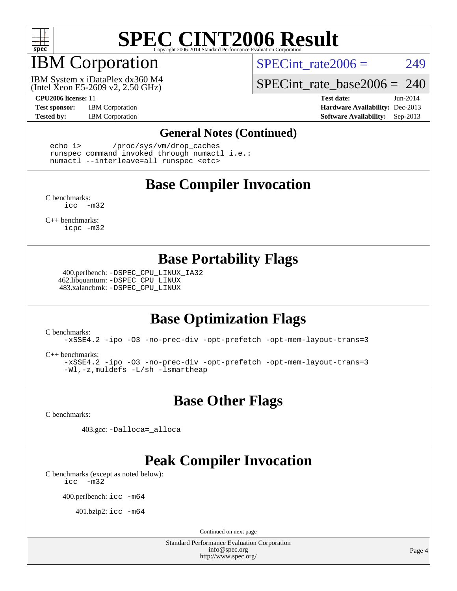

## IBM Corporation

SPECint rate $2006 = 249$ 

(Intel Xeon E5-2609 v2, 2.50 GHz) IBM System x iDataPlex dx360 M4 SPECint rate base2006 =  $240$ 

**[Test sponsor:](http://www.spec.org/auto/cpu2006/Docs/result-fields.html#Testsponsor)** IBM Corporation **[Hardware Availability:](http://www.spec.org/auto/cpu2006/Docs/result-fields.html#HardwareAvailability)** Dec-2013

**[CPU2006 license:](http://www.spec.org/auto/cpu2006/Docs/result-fields.html#CPU2006license)** 11 **[Test date:](http://www.spec.org/auto/cpu2006/Docs/result-fields.html#Testdate)** Jun-2014 [Tested by:](http://www.spec.org/auto/cpu2006/Docs/result-fields.html#Testedby) IBM Corporation **[Software Availability:](http://www.spec.org/auto/cpu2006/Docs/result-fields.html#SoftwareAvailability)** Sep-2013

#### **[General Notes \(Continued\)](http://www.spec.org/auto/cpu2006/Docs/result-fields.html#GeneralNotes)**

 echo 1> /proc/sys/vm/drop\_caches runspec command invoked through numactl i.e.: numactl --interleave=all runspec <etc>

### **[Base Compiler Invocation](http://www.spec.org/auto/cpu2006/Docs/result-fields.html#BaseCompilerInvocation)**

[C benchmarks](http://www.spec.org/auto/cpu2006/Docs/result-fields.html#Cbenchmarks): [icc -m32](http://www.spec.org/cpu2006/results/res2014q3/cpu2006-20140625-30006.flags.html#user_CCbase_intel_icc_5ff4a39e364c98233615fdd38438c6f2)

[C++ benchmarks:](http://www.spec.org/auto/cpu2006/Docs/result-fields.html#CXXbenchmarks) [icpc -m32](http://www.spec.org/cpu2006/results/res2014q3/cpu2006-20140625-30006.flags.html#user_CXXbase_intel_icpc_4e5a5ef1a53fd332b3c49e69c3330699)

### **[Base Portability Flags](http://www.spec.org/auto/cpu2006/Docs/result-fields.html#BasePortabilityFlags)**

 400.perlbench: [-DSPEC\\_CPU\\_LINUX\\_IA32](http://www.spec.org/cpu2006/results/res2014q3/cpu2006-20140625-30006.flags.html#b400.perlbench_baseCPORTABILITY_DSPEC_CPU_LINUX_IA32) 462.libquantum: [-DSPEC\\_CPU\\_LINUX](http://www.spec.org/cpu2006/results/res2014q3/cpu2006-20140625-30006.flags.html#b462.libquantum_baseCPORTABILITY_DSPEC_CPU_LINUX) 483.xalancbmk: [-DSPEC\\_CPU\\_LINUX](http://www.spec.org/cpu2006/results/res2014q3/cpu2006-20140625-30006.flags.html#b483.xalancbmk_baseCXXPORTABILITY_DSPEC_CPU_LINUX)

## **[Base Optimization Flags](http://www.spec.org/auto/cpu2006/Docs/result-fields.html#BaseOptimizationFlags)**

[C benchmarks](http://www.spec.org/auto/cpu2006/Docs/result-fields.html#Cbenchmarks):

[-xSSE4.2](http://www.spec.org/cpu2006/results/res2014q3/cpu2006-20140625-30006.flags.html#user_CCbase_f-xSSE42_f91528193cf0b216347adb8b939d4107) [-ipo](http://www.spec.org/cpu2006/results/res2014q3/cpu2006-20140625-30006.flags.html#user_CCbase_f-ipo) [-O3](http://www.spec.org/cpu2006/results/res2014q3/cpu2006-20140625-30006.flags.html#user_CCbase_f-O3) [-no-prec-div](http://www.spec.org/cpu2006/results/res2014q3/cpu2006-20140625-30006.flags.html#user_CCbase_f-no-prec-div) [-opt-prefetch](http://www.spec.org/cpu2006/results/res2014q3/cpu2006-20140625-30006.flags.html#user_CCbase_f-opt-prefetch) [-opt-mem-layout-trans=3](http://www.spec.org/cpu2006/results/res2014q3/cpu2006-20140625-30006.flags.html#user_CCbase_f-opt-mem-layout-trans_a7b82ad4bd7abf52556d4961a2ae94d5)

[C++ benchmarks:](http://www.spec.org/auto/cpu2006/Docs/result-fields.html#CXXbenchmarks)

[-xSSE4.2](http://www.spec.org/cpu2006/results/res2014q3/cpu2006-20140625-30006.flags.html#user_CXXbase_f-xSSE42_f91528193cf0b216347adb8b939d4107) [-ipo](http://www.spec.org/cpu2006/results/res2014q3/cpu2006-20140625-30006.flags.html#user_CXXbase_f-ipo) [-O3](http://www.spec.org/cpu2006/results/res2014q3/cpu2006-20140625-30006.flags.html#user_CXXbase_f-O3) [-no-prec-div](http://www.spec.org/cpu2006/results/res2014q3/cpu2006-20140625-30006.flags.html#user_CXXbase_f-no-prec-div) [-opt-prefetch](http://www.spec.org/cpu2006/results/res2014q3/cpu2006-20140625-30006.flags.html#user_CXXbase_f-opt-prefetch) [-opt-mem-layout-trans=3](http://www.spec.org/cpu2006/results/res2014q3/cpu2006-20140625-30006.flags.html#user_CXXbase_f-opt-mem-layout-trans_a7b82ad4bd7abf52556d4961a2ae94d5) [-Wl,-z,muldefs](http://www.spec.org/cpu2006/results/res2014q3/cpu2006-20140625-30006.flags.html#user_CXXbase_link_force_multiple1_74079c344b956b9658436fd1b6dd3a8a) [-L/sh -lsmartheap](http://www.spec.org/cpu2006/results/res2014q3/cpu2006-20140625-30006.flags.html#user_CXXbase_SmartHeap_32f6c82aa1ed9c52345d30cf6e4a0499)

**[Base Other Flags](http://www.spec.org/auto/cpu2006/Docs/result-fields.html#BaseOtherFlags)**

[C benchmarks](http://www.spec.org/auto/cpu2006/Docs/result-fields.html#Cbenchmarks):

403.gcc: [-Dalloca=\\_alloca](http://www.spec.org/cpu2006/results/res2014q3/cpu2006-20140625-30006.flags.html#b403.gcc_baseEXTRA_CFLAGS_Dalloca_be3056838c12de2578596ca5467af7f3)

## **[Peak Compiler Invocation](http://www.spec.org/auto/cpu2006/Docs/result-fields.html#PeakCompilerInvocation)**

[C benchmarks \(except as noted below\)](http://www.spec.org/auto/cpu2006/Docs/result-fields.html#Cbenchmarksexceptasnotedbelow): [icc -m32](http://www.spec.org/cpu2006/results/res2014q3/cpu2006-20140625-30006.flags.html#user_CCpeak_intel_icc_5ff4a39e364c98233615fdd38438c6f2)

400.perlbench: [icc -m64](http://www.spec.org/cpu2006/results/res2014q3/cpu2006-20140625-30006.flags.html#user_peakCCLD400_perlbench_intel_icc_64bit_bda6cc9af1fdbb0edc3795bac97ada53)

401.bzip2: [icc -m64](http://www.spec.org/cpu2006/results/res2014q3/cpu2006-20140625-30006.flags.html#user_peakCCLD401_bzip2_intel_icc_64bit_bda6cc9af1fdbb0edc3795bac97ada53)

Continued on next page

Standard Performance Evaluation Corporation [info@spec.org](mailto:info@spec.org) <http://www.spec.org/>

Page 4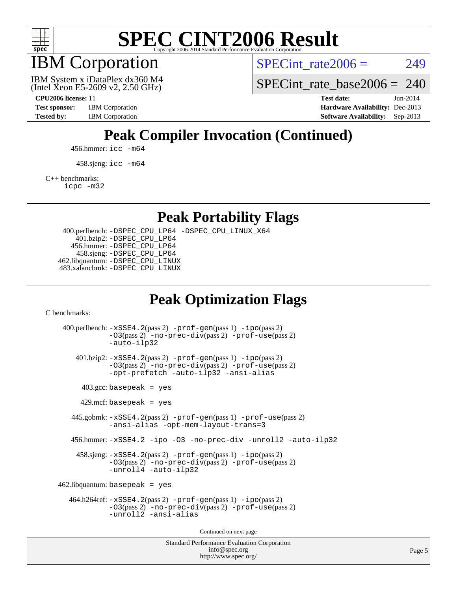

IBM Corporation

SPECint rate $2006 = 249$ 

(Intel Xeon E5-2609 v2, 2.50 GHz) IBM System x iDataPlex dx360 M4 SPECint rate base2006 =  $240$ 

**[CPU2006 license:](http://www.spec.org/auto/cpu2006/Docs/result-fields.html#CPU2006license)** 11 **[Test date:](http://www.spec.org/auto/cpu2006/Docs/result-fields.html#Testdate)** Jun-2014 **[Test sponsor:](http://www.spec.org/auto/cpu2006/Docs/result-fields.html#Testsponsor)** IBM Corporation **[Hardware Availability:](http://www.spec.org/auto/cpu2006/Docs/result-fields.html#HardwareAvailability)** Dec-2013 [Tested by:](http://www.spec.org/auto/cpu2006/Docs/result-fields.html#Testedby) IBM Corporation **[Software Availability:](http://www.spec.org/auto/cpu2006/Docs/result-fields.html#SoftwareAvailability)** Sep-2013

## **[Peak Compiler Invocation \(Continued\)](http://www.spec.org/auto/cpu2006/Docs/result-fields.html#PeakCompilerInvocation)**

456.hmmer: [icc -m64](http://www.spec.org/cpu2006/results/res2014q3/cpu2006-20140625-30006.flags.html#user_peakCCLD456_hmmer_intel_icc_64bit_bda6cc9af1fdbb0edc3795bac97ada53)

458.sjeng: [icc -m64](http://www.spec.org/cpu2006/results/res2014q3/cpu2006-20140625-30006.flags.html#user_peakCCLD458_sjeng_intel_icc_64bit_bda6cc9af1fdbb0edc3795bac97ada53)

[C++ benchmarks:](http://www.spec.org/auto/cpu2006/Docs/result-fields.html#CXXbenchmarks)

[icpc -m32](http://www.spec.org/cpu2006/results/res2014q3/cpu2006-20140625-30006.flags.html#user_CXXpeak_intel_icpc_4e5a5ef1a53fd332b3c49e69c3330699)

**[Peak Portability Flags](http://www.spec.org/auto/cpu2006/Docs/result-fields.html#PeakPortabilityFlags)**

 400.perlbench: [-DSPEC\\_CPU\\_LP64](http://www.spec.org/cpu2006/results/res2014q3/cpu2006-20140625-30006.flags.html#b400.perlbench_peakCPORTABILITY_DSPEC_CPU_LP64) [-DSPEC\\_CPU\\_LINUX\\_X64](http://www.spec.org/cpu2006/results/res2014q3/cpu2006-20140625-30006.flags.html#b400.perlbench_peakCPORTABILITY_DSPEC_CPU_LINUX_X64) 401.bzip2: [-DSPEC\\_CPU\\_LP64](http://www.spec.org/cpu2006/results/res2014q3/cpu2006-20140625-30006.flags.html#suite_peakCPORTABILITY401_bzip2_DSPEC_CPU_LP64) 456.hmmer: [-DSPEC\\_CPU\\_LP64](http://www.spec.org/cpu2006/results/res2014q3/cpu2006-20140625-30006.flags.html#suite_peakCPORTABILITY456_hmmer_DSPEC_CPU_LP64) 458.sjeng: [-DSPEC\\_CPU\\_LP64](http://www.spec.org/cpu2006/results/res2014q3/cpu2006-20140625-30006.flags.html#suite_peakCPORTABILITY458_sjeng_DSPEC_CPU_LP64) 462.libquantum: [-DSPEC\\_CPU\\_LINUX](http://www.spec.org/cpu2006/results/res2014q3/cpu2006-20140625-30006.flags.html#b462.libquantum_peakCPORTABILITY_DSPEC_CPU_LINUX) 483.xalancbmk: [-DSPEC\\_CPU\\_LINUX](http://www.spec.org/cpu2006/results/res2014q3/cpu2006-20140625-30006.flags.html#b483.xalancbmk_peakCXXPORTABILITY_DSPEC_CPU_LINUX)

### **[Peak Optimization Flags](http://www.spec.org/auto/cpu2006/Docs/result-fields.html#PeakOptimizationFlags)**

[C benchmarks](http://www.spec.org/auto/cpu2006/Docs/result-fields.html#Cbenchmarks):

Standard Performance Evaluation Corporation 400.perlbench: [-xSSE4.2](http://www.spec.org/cpu2006/results/res2014q3/cpu2006-20140625-30006.flags.html#user_peakPASS2_CFLAGSPASS2_LDCFLAGS400_perlbench_f-xSSE42_f91528193cf0b216347adb8b939d4107)(pass 2) [-prof-gen](http://www.spec.org/cpu2006/results/res2014q3/cpu2006-20140625-30006.flags.html#user_peakPASS1_CFLAGSPASS1_LDCFLAGS400_perlbench_prof_gen_e43856698f6ca7b7e442dfd80e94a8fc)(pass 1) [-ipo](http://www.spec.org/cpu2006/results/res2014q3/cpu2006-20140625-30006.flags.html#user_peakPASS2_CFLAGSPASS2_LDCFLAGS400_perlbench_f-ipo)(pass 2) [-O3](http://www.spec.org/cpu2006/results/res2014q3/cpu2006-20140625-30006.flags.html#user_peakPASS2_CFLAGSPASS2_LDCFLAGS400_perlbench_f-O3)(pass 2) [-no-prec-div](http://www.spec.org/cpu2006/results/res2014q3/cpu2006-20140625-30006.flags.html#user_peakPASS2_CFLAGSPASS2_LDCFLAGS400_perlbench_f-no-prec-div)(pass 2) [-prof-use](http://www.spec.org/cpu2006/results/res2014q3/cpu2006-20140625-30006.flags.html#user_peakPASS2_CFLAGSPASS2_LDCFLAGS400_perlbench_prof_use_bccf7792157ff70d64e32fe3e1250b55)(pass 2) [-auto-ilp32](http://www.spec.org/cpu2006/results/res2014q3/cpu2006-20140625-30006.flags.html#user_peakCOPTIMIZE400_perlbench_f-auto-ilp32) 401.bzip2: [-xSSE4.2](http://www.spec.org/cpu2006/results/res2014q3/cpu2006-20140625-30006.flags.html#user_peakPASS2_CFLAGSPASS2_LDCFLAGS401_bzip2_f-xSSE42_f91528193cf0b216347adb8b939d4107)(pass 2) [-prof-gen](http://www.spec.org/cpu2006/results/res2014q3/cpu2006-20140625-30006.flags.html#user_peakPASS1_CFLAGSPASS1_LDCFLAGS401_bzip2_prof_gen_e43856698f6ca7b7e442dfd80e94a8fc)(pass 1) [-ipo](http://www.spec.org/cpu2006/results/res2014q3/cpu2006-20140625-30006.flags.html#user_peakPASS2_CFLAGSPASS2_LDCFLAGS401_bzip2_f-ipo)(pass 2) [-O3](http://www.spec.org/cpu2006/results/res2014q3/cpu2006-20140625-30006.flags.html#user_peakPASS2_CFLAGSPASS2_LDCFLAGS401_bzip2_f-O3)(pass 2) [-no-prec-div](http://www.spec.org/cpu2006/results/res2014q3/cpu2006-20140625-30006.flags.html#user_peakPASS2_CFLAGSPASS2_LDCFLAGS401_bzip2_f-no-prec-div)(pass 2) [-prof-use](http://www.spec.org/cpu2006/results/res2014q3/cpu2006-20140625-30006.flags.html#user_peakPASS2_CFLAGSPASS2_LDCFLAGS401_bzip2_prof_use_bccf7792157ff70d64e32fe3e1250b55)(pass 2) [-opt-prefetch](http://www.spec.org/cpu2006/results/res2014q3/cpu2006-20140625-30006.flags.html#user_peakCOPTIMIZE401_bzip2_f-opt-prefetch) [-auto-ilp32](http://www.spec.org/cpu2006/results/res2014q3/cpu2006-20140625-30006.flags.html#user_peakCOPTIMIZE401_bzip2_f-auto-ilp32) [-ansi-alias](http://www.spec.org/cpu2006/results/res2014q3/cpu2006-20140625-30006.flags.html#user_peakCOPTIMIZE401_bzip2_f-ansi-alias)  $403.\text{gcc: basepeak}$  = yes  $429$ .mcf: basepeak = yes 445.gobmk: [-xSSE4.2](http://www.spec.org/cpu2006/results/res2014q3/cpu2006-20140625-30006.flags.html#user_peakPASS2_CFLAGSPASS2_LDCFLAGS445_gobmk_f-xSSE42_f91528193cf0b216347adb8b939d4107)(pass 2) [-prof-gen](http://www.spec.org/cpu2006/results/res2014q3/cpu2006-20140625-30006.flags.html#user_peakPASS1_CFLAGSPASS1_LDCFLAGS445_gobmk_prof_gen_e43856698f6ca7b7e442dfd80e94a8fc)(pass 1) [-prof-use](http://www.spec.org/cpu2006/results/res2014q3/cpu2006-20140625-30006.flags.html#user_peakPASS2_CFLAGSPASS2_LDCFLAGS445_gobmk_prof_use_bccf7792157ff70d64e32fe3e1250b55)(pass 2) [-ansi-alias](http://www.spec.org/cpu2006/results/res2014q3/cpu2006-20140625-30006.flags.html#user_peakCOPTIMIZE445_gobmk_f-ansi-alias) [-opt-mem-layout-trans=3](http://www.spec.org/cpu2006/results/res2014q3/cpu2006-20140625-30006.flags.html#user_peakCOPTIMIZE445_gobmk_f-opt-mem-layout-trans_a7b82ad4bd7abf52556d4961a2ae94d5) 456.hmmer: [-xSSE4.2](http://www.spec.org/cpu2006/results/res2014q3/cpu2006-20140625-30006.flags.html#user_peakCOPTIMIZE456_hmmer_f-xSSE42_f91528193cf0b216347adb8b939d4107) [-ipo](http://www.spec.org/cpu2006/results/res2014q3/cpu2006-20140625-30006.flags.html#user_peakCOPTIMIZE456_hmmer_f-ipo) [-O3](http://www.spec.org/cpu2006/results/res2014q3/cpu2006-20140625-30006.flags.html#user_peakCOPTIMIZE456_hmmer_f-O3) [-no-prec-div](http://www.spec.org/cpu2006/results/res2014q3/cpu2006-20140625-30006.flags.html#user_peakCOPTIMIZE456_hmmer_f-no-prec-div) [-unroll2](http://www.spec.org/cpu2006/results/res2014q3/cpu2006-20140625-30006.flags.html#user_peakCOPTIMIZE456_hmmer_f-unroll_784dae83bebfb236979b41d2422d7ec2) [-auto-ilp32](http://www.spec.org/cpu2006/results/res2014q3/cpu2006-20140625-30006.flags.html#user_peakCOPTIMIZE456_hmmer_f-auto-ilp32) 458.sjeng: [-xSSE4.2](http://www.spec.org/cpu2006/results/res2014q3/cpu2006-20140625-30006.flags.html#user_peakPASS2_CFLAGSPASS2_LDCFLAGS458_sjeng_f-xSSE42_f91528193cf0b216347adb8b939d4107)(pass 2) [-prof-gen](http://www.spec.org/cpu2006/results/res2014q3/cpu2006-20140625-30006.flags.html#user_peakPASS1_CFLAGSPASS1_LDCFLAGS458_sjeng_prof_gen_e43856698f6ca7b7e442dfd80e94a8fc)(pass 1) [-ipo](http://www.spec.org/cpu2006/results/res2014q3/cpu2006-20140625-30006.flags.html#user_peakPASS2_CFLAGSPASS2_LDCFLAGS458_sjeng_f-ipo)(pass 2) [-O3](http://www.spec.org/cpu2006/results/res2014q3/cpu2006-20140625-30006.flags.html#user_peakPASS2_CFLAGSPASS2_LDCFLAGS458_sjeng_f-O3)(pass 2) [-no-prec-div](http://www.spec.org/cpu2006/results/res2014q3/cpu2006-20140625-30006.flags.html#user_peakPASS2_CFLAGSPASS2_LDCFLAGS458_sjeng_f-no-prec-div)(pass 2) [-prof-use](http://www.spec.org/cpu2006/results/res2014q3/cpu2006-20140625-30006.flags.html#user_peakPASS2_CFLAGSPASS2_LDCFLAGS458_sjeng_prof_use_bccf7792157ff70d64e32fe3e1250b55)(pass 2) [-unroll4](http://www.spec.org/cpu2006/results/res2014q3/cpu2006-20140625-30006.flags.html#user_peakCOPTIMIZE458_sjeng_f-unroll_4e5e4ed65b7fd20bdcd365bec371b81f) [-auto-ilp32](http://www.spec.org/cpu2006/results/res2014q3/cpu2006-20140625-30006.flags.html#user_peakCOPTIMIZE458_sjeng_f-auto-ilp32)  $462$ .libquantum: basepeak = yes 464.h264ref: [-xSSE4.2](http://www.spec.org/cpu2006/results/res2014q3/cpu2006-20140625-30006.flags.html#user_peakPASS2_CFLAGSPASS2_LDCFLAGS464_h264ref_f-xSSE42_f91528193cf0b216347adb8b939d4107)(pass 2) [-prof-gen](http://www.spec.org/cpu2006/results/res2014q3/cpu2006-20140625-30006.flags.html#user_peakPASS1_CFLAGSPASS1_LDCFLAGS464_h264ref_prof_gen_e43856698f6ca7b7e442dfd80e94a8fc)(pass 1) [-ipo](http://www.spec.org/cpu2006/results/res2014q3/cpu2006-20140625-30006.flags.html#user_peakPASS2_CFLAGSPASS2_LDCFLAGS464_h264ref_f-ipo)(pass 2) [-O3](http://www.spec.org/cpu2006/results/res2014q3/cpu2006-20140625-30006.flags.html#user_peakPASS2_CFLAGSPASS2_LDCFLAGS464_h264ref_f-O3)(pass 2) [-no-prec-div](http://www.spec.org/cpu2006/results/res2014q3/cpu2006-20140625-30006.flags.html#user_peakPASS2_CFLAGSPASS2_LDCFLAGS464_h264ref_f-no-prec-div)(pass 2) [-prof-use](http://www.spec.org/cpu2006/results/res2014q3/cpu2006-20140625-30006.flags.html#user_peakPASS2_CFLAGSPASS2_LDCFLAGS464_h264ref_prof_use_bccf7792157ff70d64e32fe3e1250b55)(pass 2) [-unroll2](http://www.spec.org/cpu2006/results/res2014q3/cpu2006-20140625-30006.flags.html#user_peakCOPTIMIZE464_h264ref_f-unroll_784dae83bebfb236979b41d2422d7ec2) [-ansi-alias](http://www.spec.org/cpu2006/results/res2014q3/cpu2006-20140625-30006.flags.html#user_peakCOPTIMIZE464_h264ref_f-ansi-alias) Continued on next page

[info@spec.org](mailto:info@spec.org) <http://www.spec.org/>